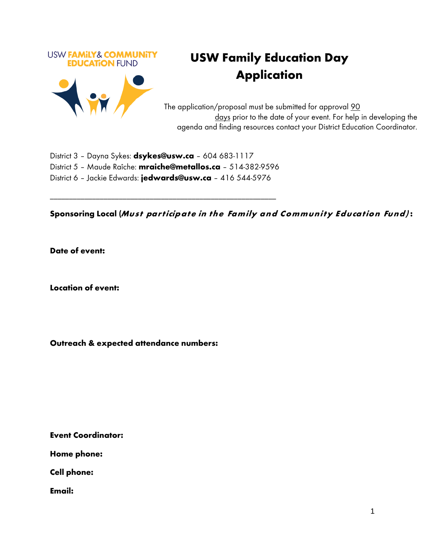

## **USW Family Education Day Application**

The application/proposal must be submitted for approval 90 days prior to the date of your event. For help in developing the agenda and finding resources contact your District Education Coordinator.

District 3 – Dayna Sykes: **[dsykes@usw.ca](mailto:dsykes@usw.ca)** – 604 683-1117 District 5 – Maude Raîche: **[mraiche@metallos.ca](mailto:mraiche@metallos.ca)** – 514-382-9596 District 6 – Jackie Edwards: **[jedwards@usw.ca](mailto:jedwards@usw.ca)** – 416 544-5976

\_\_\_\_\_\_\_\_\_\_\_\_\_\_\_\_\_\_\_\_\_\_\_\_\_\_\_\_\_\_\_\_\_\_\_\_\_\_\_\_\_\_\_\_\_\_\_\_\_\_\_\_\_\_\_\_\_\_\_

**Sponsoring Local (Must participate in the Family and Community Education Fund) :**

**Date of event:** 

**Location of event:** 

**Outreach & expected attendance numbers:** 

**Event Coordinator:** 

**Home phone:** 

**Cell phone:** 

**Email:**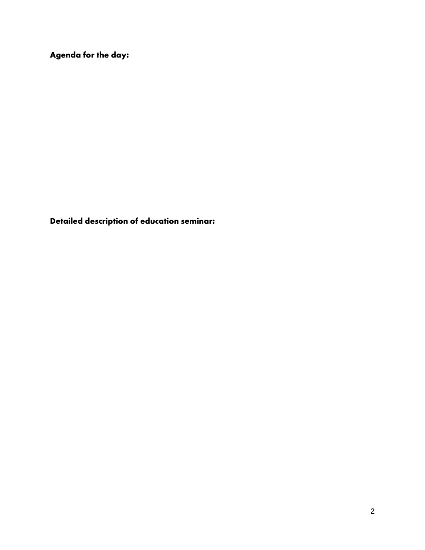**Agenda for the day:** 

**Detailed description of education seminar:**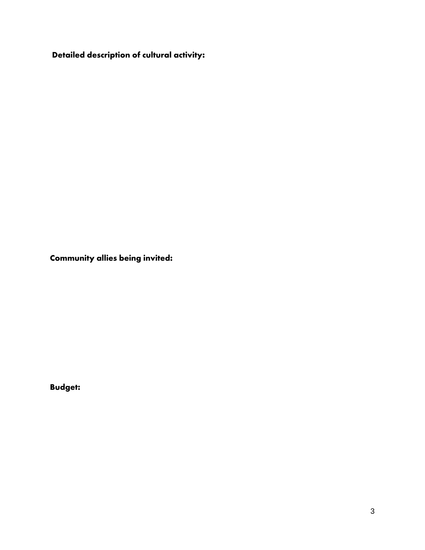**Detailed description of cultural activity:** 

**Community allies being invited:**

**Budget:**